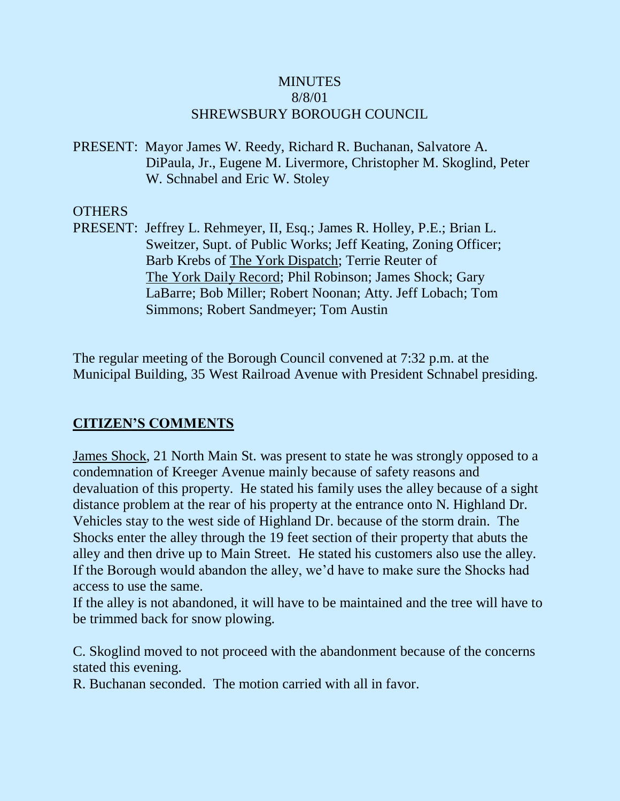## **MINUTES** 8/8/01 SHREWSBURY BOROUGH COUNCIL

PRESENT: Mayor James W. Reedy, Richard R. Buchanan, Salvatore A. DiPaula, Jr., Eugene M. Livermore, Christopher M. Skoglind, Peter W. Schnabel and Eric W. Stoley

## OTHERS

PRESENT: Jeffrey L. Rehmeyer, II, Esq.; James R. Holley, P.E.; Brian L. Sweitzer, Supt. of Public Works; Jeff Keating, Zoning Officer; Barb Krebs of The York Dispatch; Terrie Reuter of The York Daily Record; Phil Robinson; James Shock; Gary LaBarre; Bob Miller; Robert Noonan; Atty. Jeff Lobach; Tom Simmons; Robert Sandmeyer; Tom Austin

The regular meeting of the Borough Council convened at 7:32 p.m. at the Municipal Building, 35 West Railroad Avenue with President Schnabel presiding.

## **CITIZEN'S COMMENTS**

James Shock, 21 North Main St. was present to state he was strongly opposed to a condemnation of Kreeger Avenue mainly because of safety reasons and devaluation of this property. He stated his family uses the alley because of a sight distance problem at the rear of his property at the entrance onto N. Highland Dr. Vehicles stay to the west side of Highland Dr. because of the storm drain. The Shocks enter the alley through the 19 feet section of their property that abuts the alley and then drive up to Main Street. He stated his customers also use the alley. If the Borough would abandon the alley, we'd have to make sure the Shocks had access to use the same.

If the alley is not abandoned, it will have to be maintained and the tree will have to be trimmed back for snow plowing.

C. Skoglind moved to not proceed with the abandonment because of the concerns stated this evening.

R. Buchanan seconded. The motion carried with all in favor.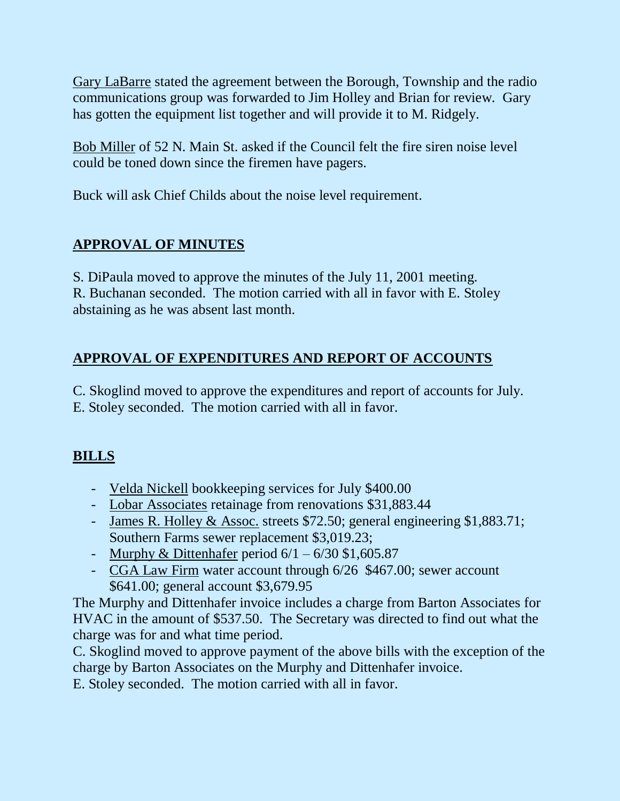Gary LaBarre stated the agreement between the Borough, Township and the radio communications group was forwarded to Jim Holley and Brian for review. Gary has gotten the equipment list together and will provide it to M. Ridgely.

Bob Miller of 52 N. Main St. asked if the Council felt the fire siren noise level could be toned down since the firemen have pagers.

Buck will ask Chief Childs about the noise level requirement.

# **APPROVAL OF MINUTES**

S. DiPaula moved to approve the minutes of the July 11, 2001 meeting. R. Buchanan seconded. The motion carried with all in favor with E. Stoley abstaining as he was absent last month.

# **APPROVAL OF EXPENDITURES AND REPORT OF ACCOUNTS**

C. Skoglind moved to approve the expenditures and report of accounts for July. E. Stoley seconded. The motion carried with all in favor.

# **BILLS**

- Velda Nickell bookkeeping services for July \$400.00
- Lobar Associates retainage from renovations \$31,883.44
- James R. Holley & Assoc. streets \$72.50; general engineering \$1,883.71; Southern Farms sewer replacement \$3,019.23;
- Murphy & Dittenhafer period  $6/1 6/30$  \$1,605.87
- CGA Law Firm water account through 6/26 \$467.00; sewer account \$641.00; general account \$3,679.95

The Murphy and Dittenhafer invoice includes a charge from Barton Associates for HVAC in the amount of \$537.50. The Secretary was directed to find out what the charge was for and what time period.

C. Skoglind moved to approve payment of the above bills with the exception of the charge by Barton Associates on the Murphy and Dittenhafer invoice.

E. Stoley seconded. The motion carried with all in favor.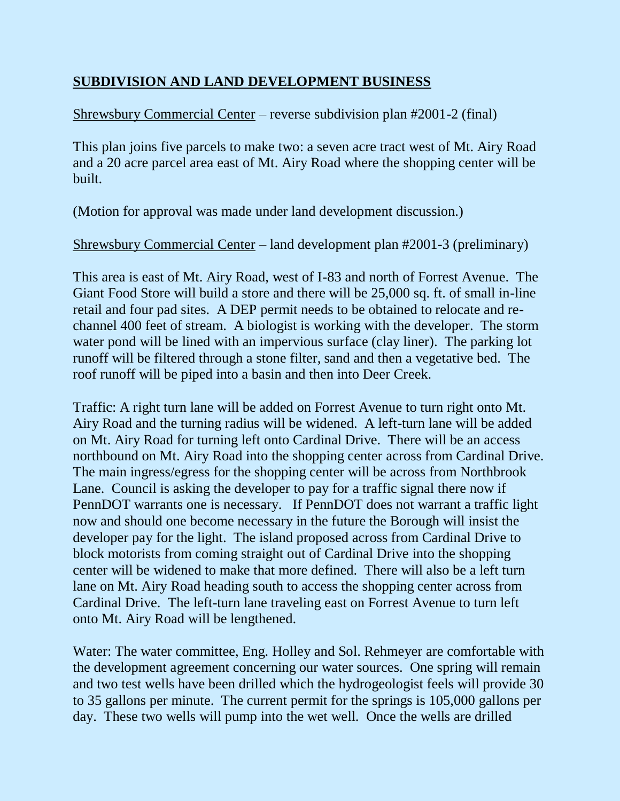## **SUBDIVISION AND LAND DEVELOPMENT BUSINESS**

## Shrewsbury Commercial Center – reverse subdivision plan #2001-2 (final)

This plan joins five parcels to make two: a seven acre tract west of Mt. Airy Road and a 20 acre parcel area east of Mt. Airy Road where the shopping center will be built.

(Motion for approval was made under land development discussion.)

Shrewsbury Commercial Center – land development plan #2001-3 (preliminary)

This area is east of Mt. Airy Road, west of I-83 and north of Forrest Avenue. The Giant Food Store will build a store and there will be 25,000 sq. ft. of small in-line retail and four pad sites. A DEP permit needs to be obtained to relocate and rechannel 400 feet of stream. A biologist is working with the developer. The storm water pond will be lined with an impervious surface (clay liner). The parking lot runoff will be filtered through a stone filter, sand and then a vegetative bed. The roof runoff will be piped into a basin and then into Deer Creek.

Traffic: A right turn lane will be added on Forrest Avenue to turn right onto Mt. Airy Road and the turning radius will be widened. A left-turn lane will be added on Mt. Airy Road for turning left onto Cardinal Drive. There will be an access northbound on Mt. Airy Road into the shopping center across from Cardinal Drive. The main ingress/egress for the shopping center will be across from Northbrook Lane. Council is asking the developer to pay for a traffic signal there now if PennDOT warrants one is necessary. If PennDOT does not warrant a traffic light now and should one become necessary in the future the Borough will insist the developer pay for the light. The island proposed across from Cardinal Drive to block motorists from coming straight out of Cardinal Drive into the shopping center will be widened to make that more defined. There will also be a left turn lane on Mt. Airy Road heading south to access the shopping center across from Cardinal Drive. The left-turn lane traveling east on Forrest Avenue to turn left onto Mt. Airy Road will be lengthened.

Water: The water committee, Eng. Holley and Sol. Rehmeyer are comfortable with the development agreement concerning our water sources. One spring will remain and two test wells have been drilled which the hydrogeologist feels will provide 30 to 35 gallons per minute. The current permit for the springs is 105,000 gallons per day. These two wells will pump into the wet well. Once the wells are drilled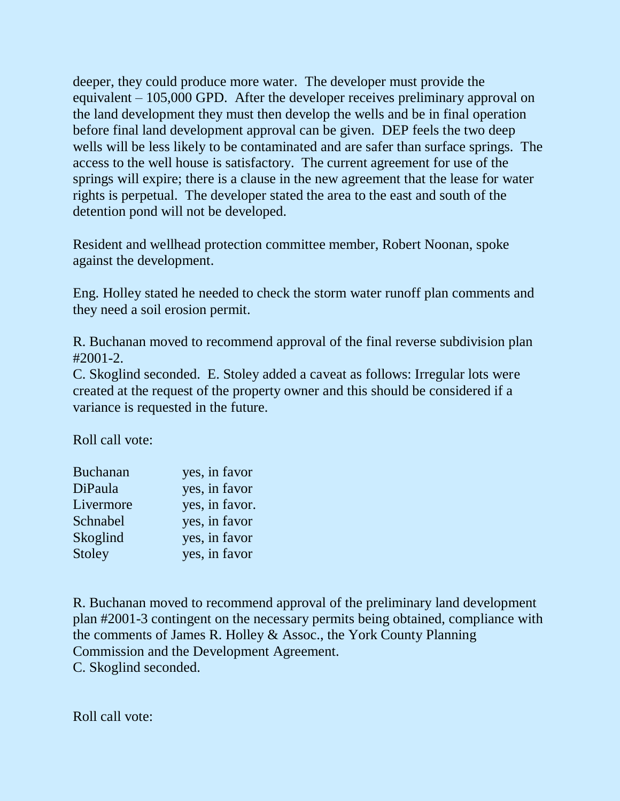deeper, they could produce more water. The developer must provide the equivalent – 105,000 GPD. After the developer receives preliminary approval on the land development they must then develop the wells and be in final operation before final land development approval can be given. DEP feels the two deep wells will be less likely to be contaminated and are safer than surface springs. The access to the well house is satisfactory. The current agreement for use of the springs will expire; there is a clause in the new agreement that the lease for water rights is perpetual. The developer stated the area to the east and south of the detention pond will not be developed.

Resident and wellhead protection committee member, Robert Noonan, spoke against the development.

Eng. Holley stated he needed to check the storm water runoff plan comments and they need a soil erosion permit.

R. Buchanan moved to recommend approval of the final reverse subdivision plan  $#2001-2.$ 

C. Skoglind seconded. E. Stoley added a caveat as follows: Irregular lots were created at the request of the property owner and this should be considered if a variance is requested in the future.

Roll call vote:

| <b>Buchanan</b> | yes, in favor  |
|-----------------|----------------|
| DiPaula         | yes, in favor  |
| Livermore       | yes, in favor. |
| Schnabel        | yes, in favor  |
| Skoglind        | yes, in favor  |
| Stoley          | yes, in favor  |

R. Buchanan moved to recommend approval of the preliminary land development plan #2001-3 contingent on the necessary permits being obtained, compliance with the comments of James R. Holley & Assoc., the York County Planning Commission and the Development Agreement. C. Skoglind seconded.

Roll call vote: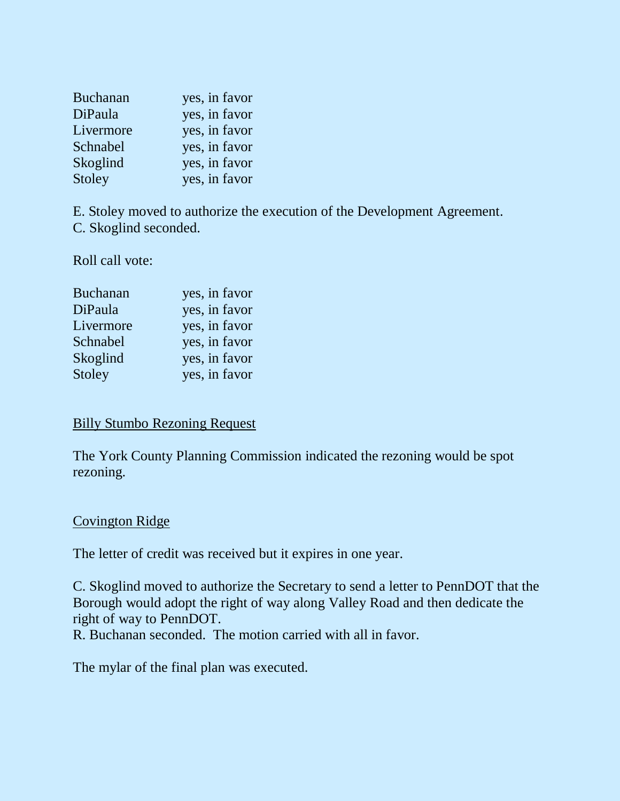| <b>Buchanan</b> | yes, in favor |
|-----------------|---------------|
| DiPaula         | yes, in favor |
| Livermore       | yes, in favor |
| Schnabel        | yes, in favor |
| Skoglind        | yes, in favor |
| Stoley          | yes, in favor |

E. Stoley moved to authorize the execution of the Development Agreement. C. Skoglind seconded.

Roll call vote:

| <b>Buchanan</b> | yes, in favor |
|-----------------|---------------|
| DiPaula         | yes, in favor |
| Livermore       | yes, in favor |
| Schnabel        | yes, in favor |
| Skoglind        | yes, in favor |
| Stoley          | yes, in favor |
|                 |               |

## Billy Stumbo Rezoning Request

The York County Planning Commission indicated the rezoning would be spot rezoning.

## Covington Ridge

The letter of credit was received but it expires in one year.

C. Skoglind moved to authorize the Secretary to send a letter to PennDOT that the Borough would adopt the right of way along Valley Road and then dedicate the right of way to PennDOT.

R. Buchanan seconded. The motion carried with all in favor.

The mylar of the final plan was executed.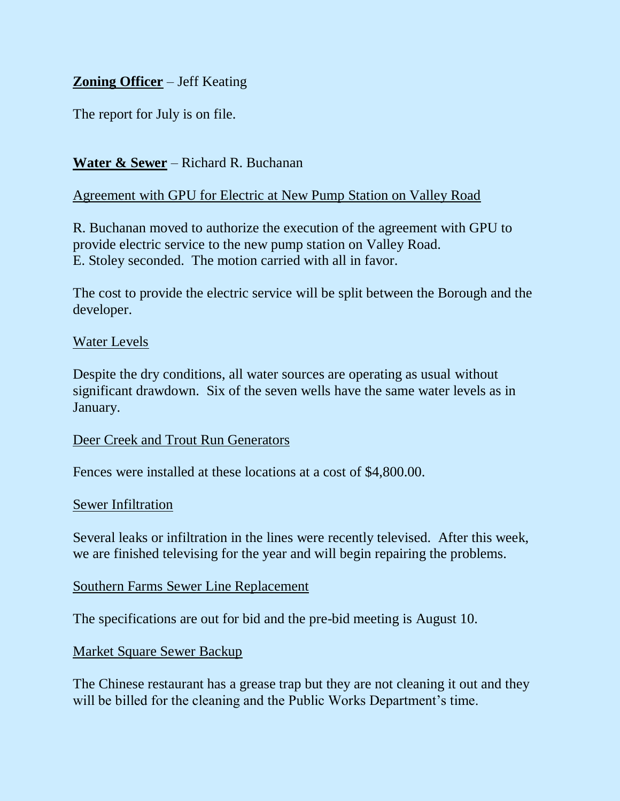## **Zoning Officer** – Jeff Keating

The report for July is on file.

## **Water & Sewer** – Richard R. Buchanan

#### Agreement with GPU for Electric at New Pump Station on Valley Road

R. Buchanan moved to authorize the execution of the agreement with GPU to provide electric service to the new pump station on Valley Road. E. Stoley seconded. The motion carried with all in favor.

The cost to provide the electric service will be split between the Borough and the developer.

#### Water Levels

Despite the dry conditions, all water sources are operating as usual without significant drawdown. Six of the seven wells have the same water levels as in January.

Deer Creek and Trout Run Generators

Fences were installed at these locations at a cost of \$4,800.00.

#### Sewer Infiltration

Several leaks or infiltration in the lines were recently televised. After this week, we are finished televising for the year and will begin repairing the problems.

#### Southern Farms Sewer Line Replacement

The specifications are out for bid and the pre-bid meeting is August 10.

Market Square Sewer Backup

The Chinese restaurant has a grease trap but they are not cleaning it out and they will be billed for the cleaning and the Public Works Department's time.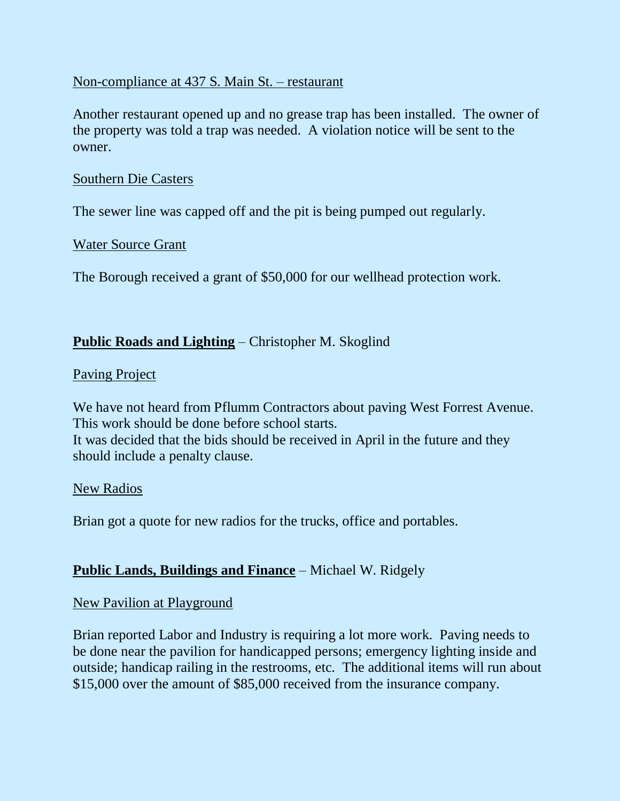#### Non-compliance at 437 S. Main St. – restaurant

Another restaurant opened up and no grease trap has been installed. The owner of the property was told a trap was needed. A violation notice will be sent to the owner.

#### Southern Die Casters

The sewer line was capped off and the pit is being pumped out regularly.

#### Water Source Grant

The Borough received a grant of \$50,000 for our wellhead protection work.

## **Public Roads and Lighting** – Christopher M. Skoglind

#### Paving Project

We have not heard from Pflumm Contractors about paving West Forrest Avenue. This work should be done before school starts. It was decided that the bids should be received in April in the future and they should include a penalty clause.

#### New Radios

Brian got a quote for new radios for the trucks, office and portables.

## **Public Lands, Buildings and Finance** – Michael W. Ridgely

## New Pavilion at Playground

Brian reported Labor and Industry is requiring a lot more work. Paving needs to be done near the pavilion for handicapped persons; emergency lighting inside and outside; handicap railing in the restrooms, etc. The additional items will run about \$15,000 over the amount of \$85,000 received from the insurance company.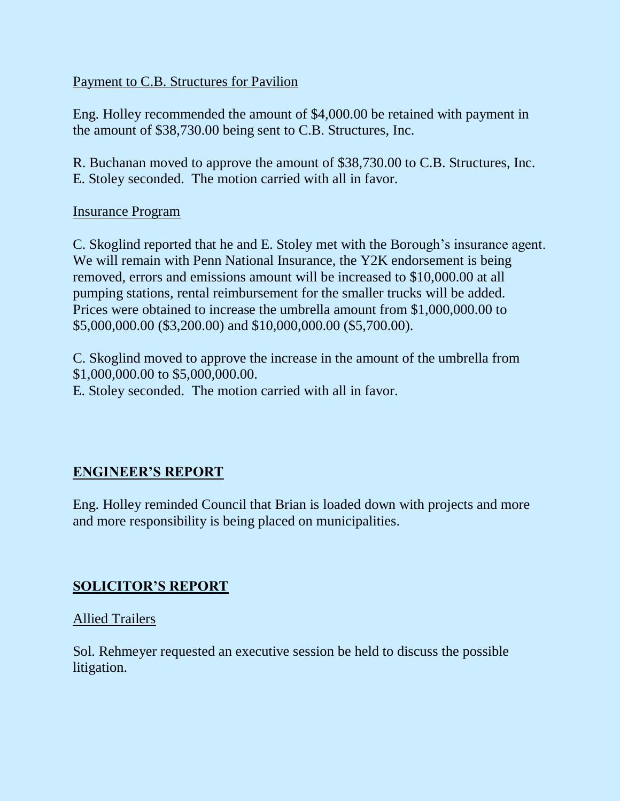## Payment to C.B. Structures for Pavilion

Eng. Holley recommended the amount of \$4,000.00 be retained with payment in the amount of \$38,730.00 being sent to C.B. Structures, Inc.

R. Buchanan moved to approve the amount of \$38,730.00 to C.B. Structures, Inc. E. Stoley seconded. The motion carried with all in favor.

## Insurance Program

C. Skoglind reported that he and E. Stoley met with the Borough's insurance agent. We will remain with Penn National Insurance, the Y2K endorsement is being removed, errors and emissions amount will be increased to \$10,000.00 at all pumping stations, rental reimbursement for the smaller trucks will be added. Prices were obtained to increase the umbrella amount from \$1,000,000.00 to \$5,000,000.00 (\$3,200.00) and \$10,000,000.00 (\$5,700.00).

C. Skoglind moved to approve the increase in the amount of the umbrella from \$1,000,000.00 to \$5,000,000.00.

E. Stoley seconded. The motion carried with all in favor.

## **ENGINEER'S REPORT**

Eng. Holley reminded Council that Brian is loaded down with projects and more and more responsibility is being placed on municipalities.

## **SOLICITOR'S REPORT**

Allied Trailers

Sol. Rehmeyer requested an executive session be held to discuss the possible litigation.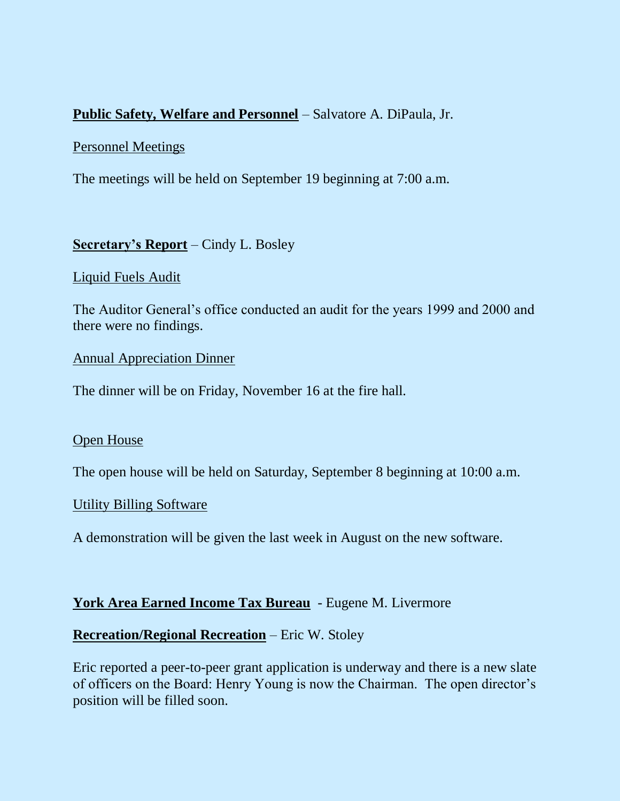## **Public Safety, Welfare and Personnel** – Salvatore A. DiPaula, Jr.

#### Personnel Meetings

The meetings will be held on September 19 beginning at 7:00 a.m.

## **Secretary's Report** – Cindy L. Bosley

#### Liquid Fuels Audit

The Auditor General's office conducted an audit for the years 1999 and 2000 and there were no findings.

#### Annual Appreciation Dinner

The dinner will be on Friday, November 16 at the fire hall.

#### Open House

The open house will be held on Saturday, September 8 beginning at 10:00 a.m.

## Utility Billing Software

A demonstration will be given the last week in August on the new software.

## **York Area Earned Income Tax Bureau** - Eugene M. Livermore

## **Recreation/Regional Recreation** – Eric W. Stoley

Eric reported a peer-to-peer grant application is underway and there is a new slate of officers on the Board: Henry Young is now the Chairman. The open director's position will be filled soon.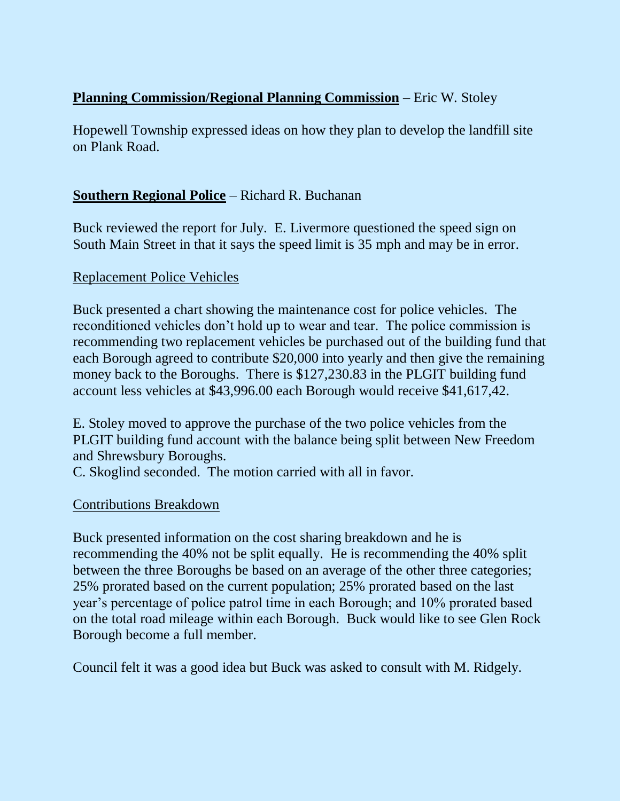## **Planning Commission/Regional Planning Commission** – Eric W. Stoley

Hopewell Township expressed ideas on how they plan to develop the landfill site on Plank Road.

## **Southern Regional Police** – Richard R. Buchanan

Buck reviewed the report for July. E. Livermore questioned the speed sign on South Main Street in that it says the speed limit is 35 mph and may be in error.

#### Replacement Police Vehicles

Buck presented a chart showing the maintenance cost for police vehicles. The reconditioned vehicles don't hold up to wear and tear. The police commission is recommending two replacement vehicles be purchased out of the building fund that each Borough agreed to contribute \$20,000 into yearly and then give the remaining money back to the Boroughs. There is \$127,230.83 in the PLGIT building fund account less vehicles at \$43,996.00 each Borough would receive \$41,617,42.

E. Stoley moved to approve the purchase of the two police vehicles from the PLGIT building fund account with the balance being split between New Freedom and Shrewsbury Boroughs.

C. Skoglind seconded. The motion carried with all in favor.

## Contributions Breakdown

Buck presented information on the cost sharing breakdown and he is recommending the 40% not be split equally. He is recommending the 40% split between the three Boroughs be based on an average of the other three categories; 25% prorated based on the current population; 25% prorated based on the last year's percentage of police patrol time in each Borough; and 10% prorated based on the total road mileage within each Borough. Buck would like to see Glen Rock Borough become a full member.

Council felt it was a good idea but Buck was asked to consult with M. Ridgely.